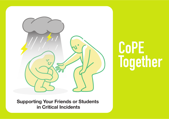

## **CoPE Together**

**Supporting Your Friends or Students in Critical Incidents**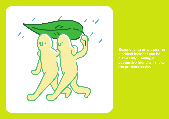

**Experiencing or witnessing a critical incident can be distressing. Having a supportive friend will make the process easier.**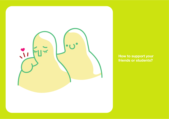

**How to support your friends or students?**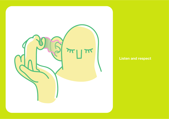

## **Listen and respect**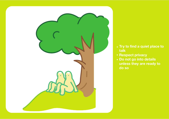

- Try to find a quiet place to **talk**
- **Respect privacy**
- **Do not go into details unless they are ready to do so**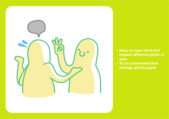

- **Keep an open mind and respect different points of view**
- **Try to understand their feelings and thoughts**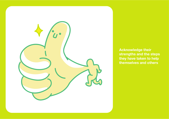

**Acknowledge their strengths and the steps they have taken to help themselves and others**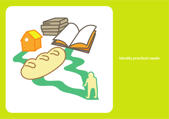

## **Identify practical needs**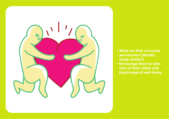

- **What are their concerns and worries? (Health, study, family?)**
- **Encourage them to take care of their safety and psychological well-being**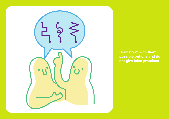

**Brainstorm with them possible options and do not give false promises**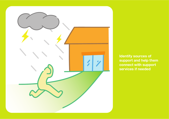

**Identify sources of support and help them connect with support services if needed**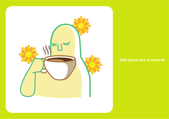

## **Take good care of yourself**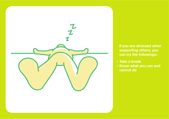

**If you are stressed when supporting others, you can try the followings:** 

- **Take a break**
- **Know what you can and cannot do**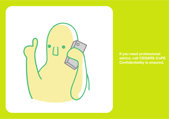

**If you need professional advice, call CEDARS-CoPE. Confidentiality is ensured.**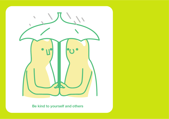

**Be kind to yourself and others**